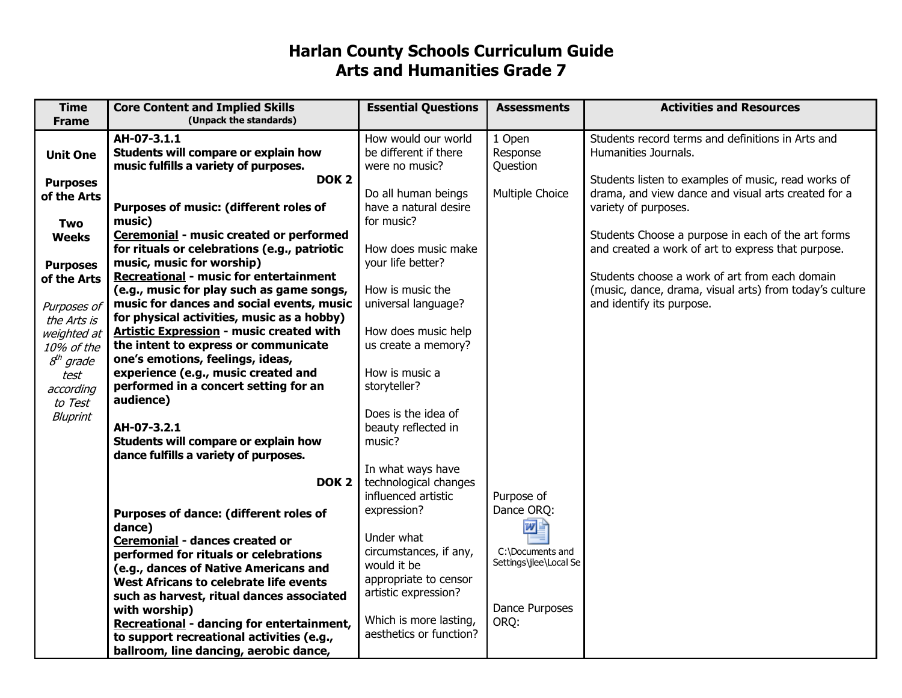## **Harlan County Schools Curriculum Guide Arts and Humanities Grade 7**

| <b>Time</b>     | <b>Core Content and Implied Skills</b>           | <b>Essential Questions</b>                   | <b>Assessments</b>     | <b>Activities and Resources</b>                         |
|-----------------|--------------------------------------------------|----------------------------------------------|------------------------|---------------------------------------------------------|
| <b>Frame</b>    | (Unpack the standards)                           |                                              |                        |                                                         |
|                 | AH-07-3.1.1                                      | How would our world                          | 1 Open                 | Students record terms and definitions in Arts and       |
| <b>Unit One</b> | Students will compare or explain how             | be different if there                        | Response               | Humanities Journals.                                    |
|                 | music fulfills a variety of purposes.            | were no music?                               | Question               |                                                         |
| <b>Purposes</b> | DOK <sub>2</sub>                                 |                                              |                        | Students listen to examples of music, read works of     |
| of the Arts     |                                                  | Do all human beings                          | Multiple Choice        | drama, and view dance and visual arts created for a     |
|                 | Purposes of music: (different roles of           | have a natural desire                        |                        | variety of purposes.                                    |
| Two             | music)                                           | for music?                                   |                        |                                                         |
| <b>Weeks</b>    | Ceremonial - music created or performed          |                                              |                        | Students Choose a purpose in each of the art forms      |
|                 | for rituals or celebrations (e.g., patriotic     | How does music make                          |                        | and created a work of art to express that purpose.      |
| <b>Purposes</b> | music, music for worship)                        | your life better?                            |                        |                                                         |
| of the Arts     | <b>Recreational - music for entertainment</b>    |                                              |                        | Students choose a work of art from each domain          |
|                 | (e.g., music for play such as game songs,        | How is music the                             |                        | (music, dance, drama, visual arts) from today's culture |
| Purposes of     | music for dances and social events, music        | universal language?                          |                        | and identify its purpose.                               |
| the Arts is     | for physical activities, music as a hobby)       |                                              |                        |                                                         |
| weighted at     | <b>Artistic Expression - music created with</b>  | How does music help                          |                        |                                                         |
| 10% of the      | the intent to express or communicate             | us create a memory?                          |                        |                                                         |
| $8th$ grade     | one's emotions, feelings, ideas,                 |                                              |                        |                                                         |
| test            | experience (e.g., music created and              | How is music a                               |                        |                                                         |
| according       | performed in a concert setting for an            | storyteller?                                 |                        |                                                         |
| to Test         | audience)                                        |                                              |                        |                                                         |
| Bluprint        |                                                  | Does is the idea of                          |                        |                                                         |
|                 | AH-07-3.2.1                                      | beauty reflected in                          |                        |                                                         |
|                 | Students will compare or explain how             | music?                                       |                        |                                                         |
|                 | dance fulfills a variety of purposes.            |                                              |                        |                                                         |
|                 | DOK <sub>2</sub>                                 | In what ways have                            |                        |                                                         |
|                 |                                                  | technological changes<br>influenced artistic | Purpose of             |                                                         |
|                 |                                                  | expression?                                  | Dance ORQ:             |                                                         |
|                 | Purposes of dance: (different roles of           |                                              |                        |                                                         |
|                 | dance)                                           | Under what                                   | W                      |                                                         |
|                 | Ceremonial - dances created or                   | circumstances, if any,                       | C:\Documents and       |                                                         |
|                 | performed for rituals or celebrations            | would it be                                  | Settings\jlee\Local Se |                                                         |
|                 | (e.g., dances of Native Americans and            | appropriate to censor                        |                        |                                                         |
|                 | West Africans to celebrate life events           | artistic expression?                         |                        |                                                         |
|                 | such as harvest, ritual dances associated        |                                              | Dance Purposes         |                                                         |
|                 | with worship)                                    | Which is more lasting,                       | ORQ:                   |                                                         |
|                 | <b>Recreational - dancing for entertainment,</b> | aesthetics or function?                      |                        |                                                         |
|                 | to support recreational activities (e.g.,        |                                              |                        |                                                         |
|                 | ballroom, line dancing, aerobic dance,           |                                              |                        |                                                         |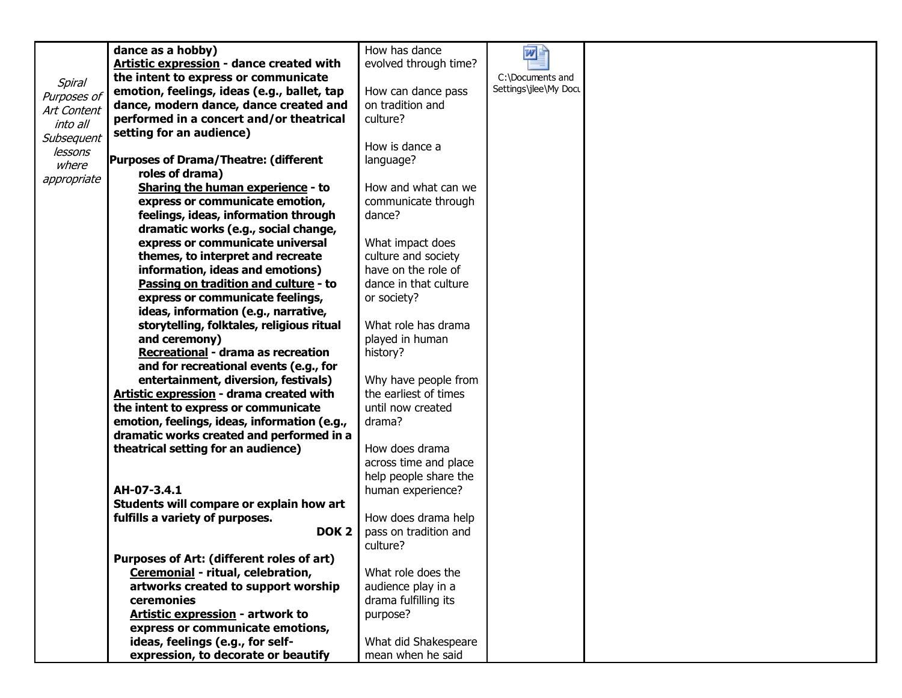|             | dance as a hobby)                               | How has dance         | 四面                    |  |
|-------------|-------------------------------------------------|-----------------------|-----------------------|--|
|             | <b>Artistic expression - dance created with</b> | evolved through time? |                       |  |
|             | the intent to express or communicate            |                       | C:\Documents and      |  |
| Spiral      | emotion, feelings, ideas (e.g., ballet, tap     | How can dance pass    | Settings\jlee\My Doct |  |
| Purposes of | dance, modern dance, dance created and          | on tradition and      |                       |  |
| Art Content | performed in a concert and/or theatrical        | culture?              |                       |  |
| into all    | setting for an audience)                        |                       |                       |  |
| Subsequent  |                                                 | How is dance a        |                       |  |
| lessons     | <b>Purposes of Drama/Theatre: (different</b>    | language?             |                       |  |
| where       | roles of drama)                                 |                       |                       |  |
| appropriate | Sharing the human experience - to               | How and what can we   |                       |  |
|             | express or communicate emotion,                 | communicate through   |                       |  |
|             | feelings, ideas, information through            | dance?                |                       |  |
|             | dramatic works (e.g., social change,            |                       |                       |  |
|             | express or communicate universal                | What impact does      |                       |  |
|             | themes, to interpret and recreate               | culture and society   |                       |  |
|             | information, ideas and emotions)                | have on the role of   |                       |  |
|             | Passing on tradition and culture - to           | dance in that culture |                       |  |
|             | express or communicate feelings,                | or society?           |                       |  |
|             | ideas, information (e.g., narrative,            |                       |                       |  |
|             |                                                 | What role has drama   |                       |  |
|             | storytelling, folktales, religious ritual       |                       |                       |  |
|             | and ceremony)                                   | played in human       |                       |  |
|             | Recreational - drama as recreation              | history?              |                       |  |
|             | and for recreational events (e.g., for          |                       |                       |  |
|             | entertainment, diversion, festivals)            | Why have people from  |                       |  |
|             | Artistic expression - drama created with        | the earliest of times |                       |  |
|             | the intent to express or communicate            | until now created     |                       |  |
|             | emotion, feelings, ideas, information (e.g.,    | drama?                |                       |  |
|             | dramatic works created and performed in a       |                       |                       |  |
|             | theatrical setting for an audience)             | How does drama        |                       |  |
|             |                                                 | across time and place |                       |  |
|             |                                                 | help people share the |                       |  |
|             | AH-07-3.4.1                                     | human experience?     |                       |  |
|             | Students will compare or explain how art        |                       |                       |  |
|             | fulfills a variety of purposes.                 | How does drama help   |                       |  |
|             | DOK <sub>2</sub>                                | pass on tradition and |                       |  |
|             |                                                 | culture?              |                       |  |
|             | Purposes of Art: (different roles of art)       |                       |                       |  |
|             | Ceremonial - ritual, celebration,               | What role does the    |                       |  |
|             | artworks created to support worship             | audience play in a    |                       |  |
|             | ceremonies                                      | drama fulfilling its  |                       |  |
|             | <b>Artistic expression - artwork to</b>         | purpose?              |                       |  |
|             | express or communicate emotions,                |                       |                       |  |
|             | ideas, feelings (e.g., for self-                | What did Shakespeare  |                       |  |
|             | expression, to decorate or beautify             | mean when he said     |                       |  |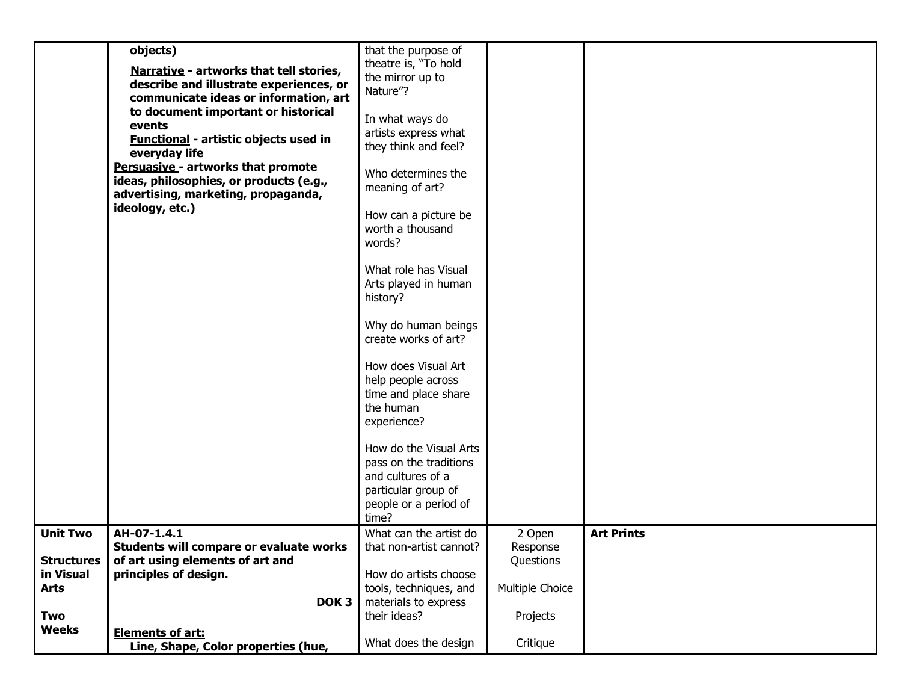|                   | objects)                                     | that the purpose of     |                 |                   |
|-------------------|----------------------------------------------|-------------------------|-----------------|-------------------|
|                   |                                              | theatre is, "To hold    |                 |                   |
|                   | Narrative - artworks that tell stories,      | the mirror up to        |                 |                   |
|                   | describe and illustrate experiences, or      | Nature"?                |                 |                   |
|                   | communicate ideas or information, art        |                         |                 |                   |
|                   | to document important or historical          |                         |                 |                   |
|                   | events                                       | In what ways do         |                 |                   |
|                   | <b>Functional - artistic objects used in</b> | artists express what    |                 |                   |
|                   | everyday life                                | they think and feel?    |                 |                   |
|                   | <b>Persuasive - artworks that promote</b>    |                         |                 |                   |
|                   | ideas, philosophies, or products (e.g.,      | Who determines the      |                 |                   |
|                   | advertising, marketing, propaganda,          | meaning of art?         |                 |                   |
|                   | ideology, etc.)                              |                         |                 |                   |
|                   |                                              | How can a picture be    |                 |                   |
|                   |                                              | worth a thousand        |                 |                   |
|                   |                                              | words?                  |                 |                   |
|                   |                                              |                         |                 |                   |
|                   |                                              | What role has Visual    |                 |                   |
|                   |                                              | Arts played in human    |                 |                   |
|                   |                                              | history?                |                 |                   |
|                   |                                              |                         |                 |                   |
|                   |                                              | Why do human beings     |                 |                   |
|                   |                                              | create works of art?    |                 |                   |
|                   |                                              |                         |                 |                   |
|                   |                                              |                         |                 |                   |
|                   |                                              | How does Visual Art     |                 |                   |
|                   |                                              | help people across      |                 |                   |
|                   |                                              | time and place share    |                 |                   |
|                   |                                              | the human               |                 |                   |
|                   |                                              | experience?             |                 |                   |
|                   |                                              |                         |                 |                   |
|                   |                                              | How do the Visual Arts  |                 |                   |
|                   |                                              | pass on the traditions  |                 |                   |
|                   |                                              | and cultures of a       |                 |                   |
|                   |                                              | particular group of     |                 |                   |
|                   |                                              | people or a period of   |                 |                   |
|                   |                                              | time?                   |                 |                   |
| <b>Unit Two</b>   | AH-07-1.4.1                                  | What can the artist do  | 2 Open          | <b>Art Prints</b> |
|                   | Students will compare or evaluate works      | that non-artist cannot? | Response        |                   |
|                   |                                              |                         |                 |                   |
| <b>Structures</b> | of art using elements of art and             |                         | Questions       |                   |
| in Visual         | principles of design.                        | How do artists choose   |                 |                   |
| <b>Arts</b>       |                                              | tools, techniques, and  | Multiple Choice |                   |
|                   | DOK <sub>3</sub>                             | materials to express    |                 |                   |
| Two               |                                              | their ideas?            | Projects        |                   |
| <b>Weeks</b>      | <b>Elements of art:</b>                      |                         |                 |                   |
|                   | Line, Shape, Color properties (hue,          | What does the design    | Critique        |                   |
|                   |                                              |                         |                 |                   |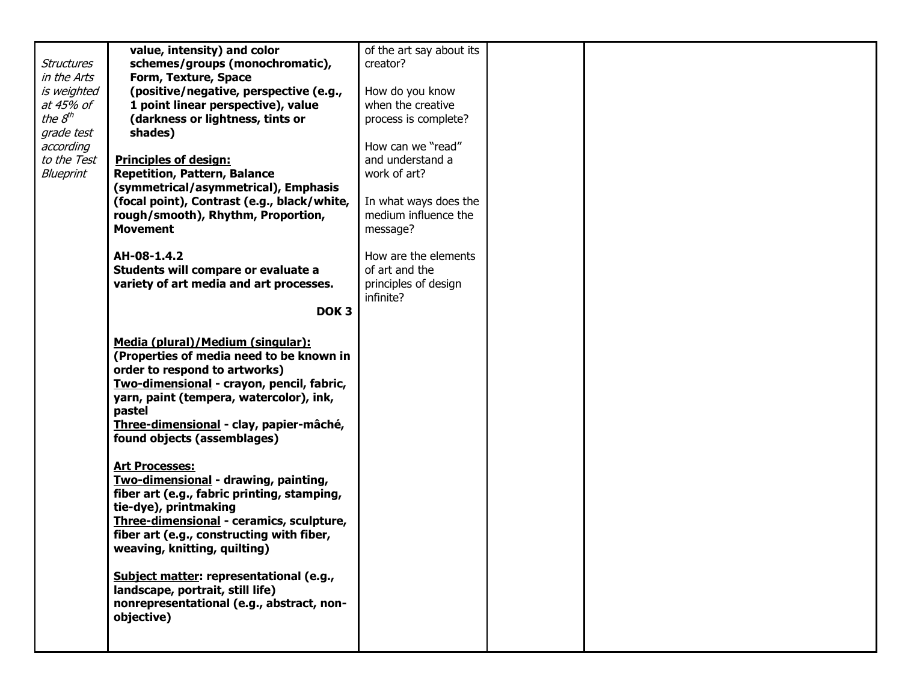|                   | value, intensity) and color                 | of the art say about its |  |  |
|-------------------|---------------------------------------------|--------------------------|--|--|
| <b>Structures</b> | schemes/groups (monochromatic),             | creator?                 |  |  |
| in the Arts       | Form, Texture, Space                        |                          |  |  |
| is weighted       | (positive/negative, perspective (e.g.,      | How do you know          |  |  |
| at 45% of         | 1 point linear perspective), value          | when the creative        |  |  |
| the $8^{th}$      | (darkness or lightness, tints or            | process is complete?     |  |  |
| grade test        | shades)                                     |                          |  |  |
| according         |                                             | How can we "read"        |  |  |
| to the Test       | <b>Principles of design:</b>                | and understand a         |  |  |
| Blueprint         | <b>Repetition, Pattern, Balance</b>         | work of art?             |  |  |
|                   | (symmetrical/asymmetrical), Emphasis        |                          |  |  |
|                   | (focal point), Contrast (e.g., black/white, | In what ways does the    |  |  |
|                   | rough/smooth), Rhythm, Proportion,          | medium influence the     |  |  |
|                   | <b>Movement</b>                             | message?                 |  |  |
|                   | AH-08-1.4.2                                 | How are the elements     |  |  |
|                   | Students will compare or evaluate a         | of art and the           |  |  |
|                   | variety of art media and art processes.     | principles of design     |  |  |
|                   |                                             | infinite?                |  |  |
|                   | DOK <sub>3</sub>                            |                          |  |  |
|                   |                                             |                          |  |  |
|                   | Media (plural)/Medium (singular):           |                          |  |  |
|                   | (Properties of media need to be known in    |                          |  |  |
|                   | order to respond to artworks)               |                          |  |  |
|                   | Two-dimensional - crayon, pencil, fabric,   |                          |  |  |
|                   | yarn, paint (tempera, watercolor), ink,     |                          |  |  |
|                   | pastel                                      |                          |  |  |
|                   | Three-dimensional - clay, papier-mâché,     |                          |  |  |
|                   | found objects (assemblages)                 |                          |  |  |
|                   |                                             |                          |  |  |
|                   | <b>Art Processes:</b>                       |                          |  |  |
|                   | Two-dimensional - drawing, painting,        |                          |  |  |
|                   | fiber art (e.g., fabric printing, stamping, |                          |  |  |
|                   | tie-dye), printmaking                       |                          |  |  |
|                   | Three-dimensional - ceramics, sculpture,    |                          |  |  |
|                   | fiber art (e.g., constructing with fiber,   |                          |  |  |
|                   | weaving, knitting, quilting)                |                          |  |  |
|                   | Subject matter: representational (e.g.,     |                          |  |  |
|                   | landscape, portrait, still life)            |                          |  |  |
|                   | nonrepresentational (e.g., abstract, non-   |                          |  |  |
|                   | objective)                                  |                          |  |  |
|                   |                                             |                          |  |  |
|                   |                                             |                          |  |  |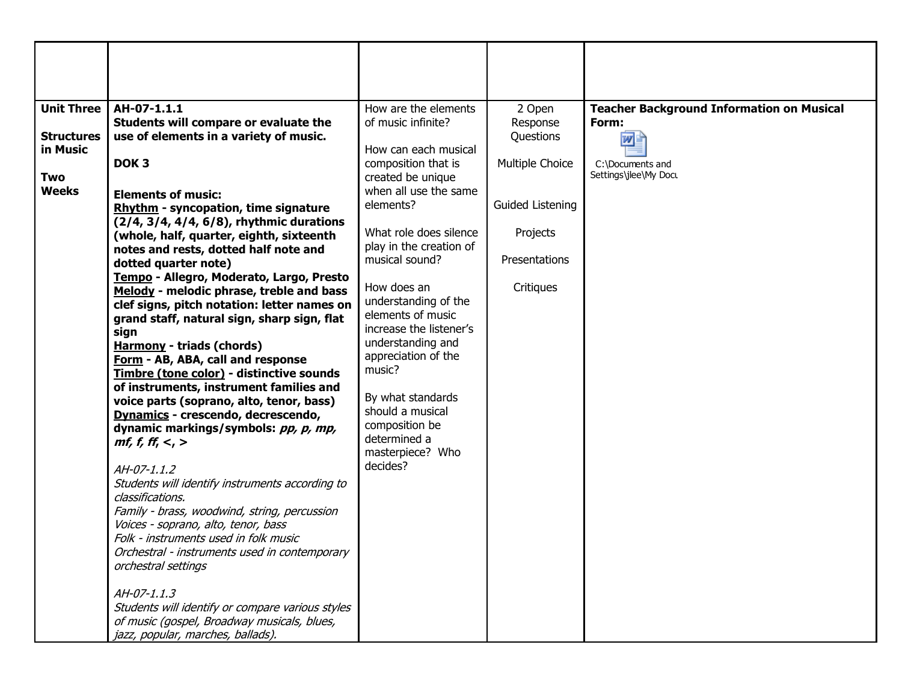| <b>Unit Three</b><br>AH-07-1.1.1                                                                     | How are the elements                         | 2 Open                | <b>Teacher Background Information on Musical</b> |
|------------------------------------------------------------------------------------------------------|----------------------------------------------|-----------------------|--------------------------------------------------|
| Students will compare or evaluate the<br>use of elements in a variety of music.<br><b>Structures</b> | of music infinite?                           | Response<br>Questions | Form:<br>W                                       |
| in Music                                                                                             | How can each musical                         |                       |                                                  |
| DOK <sub>3</sub>                                                                                     | composition that is                          | Multiple Choice       | C:\Documents and<br>Settings\jlee\My Docu        |
| Two<br><b>Weeks</b><br><b>Elements of music:</b>                                                     | created be unique<br>when all use the same   |                       |                                                  |
| <b>Rhythm - syncopation, time signature</b>                                                          | elements?                                    | Guided Listening      |                                                  |
| (2/4, 3/4, 4/4, 6/8), rhythmic durations                                                             | What role does silence                       |                       |                                                  |
| (whole, half, quarter, eighth, sixteenth<br>notes and rests, dotted half note and                    | play in the creation of                      | Projects              |                                                  |
| dotted quarter note)                                                                                 | musical sound?                               | Presentations         |                                                  |
| Tempo - Allegro, Moderato, Largo, Presto                                                             | How does an                                  | Critiques             |                                                  |
| Melody - melodic phrase, treble and bass<br>clef signs, pitch notation: letter names on              | understanding of the                         |                       |                                                  |
| grand staff, natural sign, sharp sign, flat                                                          | elements of music                            |                       |                                                  |
| sign                                                                                                 | increase the listener's<br>understanding and |                       |                                                  |
| <b>Harmony - triads (chords)</b><br>Form - AB, ABA, call and response                                | appreciation of the                          |                       |                                                  |
| Timbre (tone color) - distinctive sounds                                                             | music?                                       |                       |                                                  |
| of instruments, instrument families and                                                              | By what standards                            |                       |                                                  |
| voice parts (soprano, alto, tenor, bass)<br>Dynamics - crescendo, decrescendo,                       | should a musical                             |                       |                                                  |
| dynamic markings/symbols: pp, p, mp,                                                                 | composition be                               |                       |                                                  |
| <i>mf, f, ff, &lt;, &gt;</i>                                                                         | determined a<br>masterpiece? Who             |                       |                                                  |
| AH-07-1.1.2                                                                                          | decides?                                     |                       |                                                  |
| Students will identify instruments according to<br>classifications.                                  |                                              |                       |                                                  |
| Family - brass, woodwind, string, percussion                                                         |                                              |                       |                                                  |
| Voices - soprano, alto, tenor, bass                                                                  |                                              |                       |                                                  |
| Folk - instruments used in folk music                                                                |                                              |                       |                                                  |
| Orchestral - instruments used in contemporary<br>orchestral settings                                 |                                              |                       |                                                  |
| AH-07-1.1.3                                                                                          |                                              |                       |                                                  |
| Students will identify or compare various styles                                                     |                                              |                       |                                                  |
| of music (gospel, Broadway musicals, blues,<br>jazz, popular, marches, ballads).                     |                                              |                       |                                                  |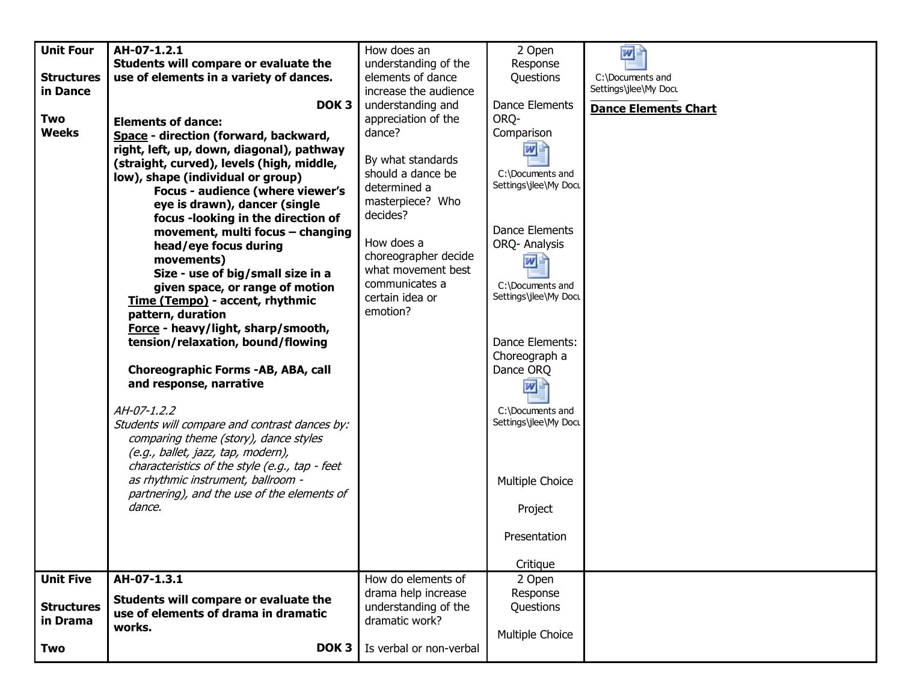| <b>Unit Four</b>  | AH-07-1.2.1                                    | How does an             | 2 Open                | 四≣                          |
|-------------------|------------------------------------------------|-------------------------|-----------------------|-----------------------------|
|                   | Students will compare or evaluate the          | understanding of the    | Response              |                             |
| <b>Structures</b> | use of elements in a variety of dances.        | elements of dance       | Questions             | C:\Documents and            |
| in Dance          |                                                | increase the audience   |                       | Settings\jlee\My Docu       |
|                   | DOK <sub>3</sub>                               | understanding and       | Dance Elements        |                             |
| Two               |                                                |                         | ORQ-                  | <b>Dance Elements Chart</b> |
|                   | <b>Elements of dance:</b>                      | appreciation of the     |                       |                             |
| <b>Weeks</b>      | Space - direction (forward, backward,          | dance?                  | Comparison            |                             |
|                   | right, left, up, down, diagonal), pathway      |                         | w                     |                             |
|                   | (straight, curved), levels (high, middle,      | By what standards       |                       |                             |
|                   | low), shape (individual or group)              | should a dance be       | C:\Documents and      |                             |
|                   | Focus - audience (where viewer's               | determined a            | Settings\jlee\My Docu |                             |
|                   | eye is drawn), dancer (single                  | masterpiece? Who        |                       |                             |
|                   | focus -looking in the direction of             | decides?                |                       |                             |
|                   |                                                |                         | <b>Dance Elements</b> |                             |
|                   | movement, multi focus - changing               | How does a              | ORQ- Analysis         |                             |
|                   | head/eye focus during                          | choreographer decide    |                       |                             |
|                   | movements)                                     |                         | w                     |                             |
|                   | Size - use of big/small size in a              | what movement best      |                       |                             |
|                   | given space, or range of motion                | communicates a          | C:\Documents and      |                             |
|                   | Time (Tempo) - accent, rhythmic                | certain idea or         | Settings\jlee\My Docu |                             |
|                   | pattern, duration                              | emotion?                |                       |                             |
|                   | Force - heavy/light, sharp/smooth,             |                         |                       |                             |
|                   | tension/relaxation, bound/flowing              |                         | Dance Elements:       |                             |
|                   |                                                |                         | Choreograph a         |                             |
|                   |                                                |                         | Dance ORQ             |                             |
|                   | Choreographic Forms -AB, ABA, call             |                         |                       |                             |
|                   | and response, narrative                        |                         | w                     |                             |
|                   | AH-07-1.2.2                                    |                         | C:\Documents and      |                             |
|                   |                                                |                         | Settings\jlee\My Docu |                             |
|                   | Students will compare and contrast dances by:  |                         |                       |                             |
|                   | comparing theme (story), dance styles          |                         |                       |                             |
|                   | (e.g., ballet, jazz, tap, modern),             |                         |                       |                             |
|                   | characteristics of the style (e.g., tap - feet |                         |                       |                             |
|                   | as rhythmic instrument, ballroom -             |                         | Multiple Choice       |                             |
|                   | partnering), and the use of the elements of    |                         |                       |                             |
|                   | dance.                                         |                         | Project               |                             |
|                   |                                                |                         |                       |                             |
|                   |                                                |                         | Presentation          |                             |
|                   |                                                |                         |                       |                             |
|                   |                                                |                         | Critique              |                             |
| <b>Unit Five</b>  | AH-07-1.3.1                                    | How do elements of      | 2 Open                |                             |
|                   |                                                | drama help increase     | Response              |                             |
| <b>Structures</b> | Students will compare or evaluate the          | understanding of the    | Questions             |                             |
| in Drama          | use of elements of drama in dramatic           | dramatic work?          |                       |                             |
|                   | works.                                         |                         |                       |                             |
|                   |                                                |                         | Multiple Choice       |                             |
| Two               | DOK <sub>3</sub>                               | Is verbal or non-verbal |                       |                             |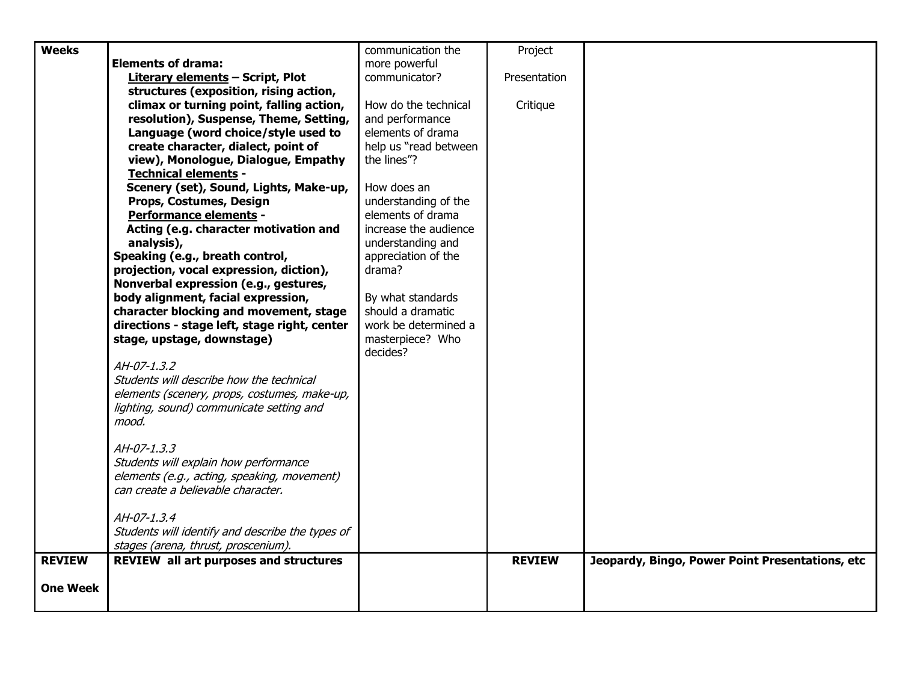| <b>Weeks</b>    |                                                  | communication the     | Project       |                                                 |
|-----------------|--------------------------------------------------|-----------------------|---------------|-------------------------------------------------|
|                 | <b>Elements of drama:</b>                        | more powerful         |               |                                                 |
|                 | <b>Literary elements - Script, Plot</b>          | communicator?         | Presentation  |                                                 |
|                 | structures (exposition, rising action,           |                       |               |                                                 |
|                 | climax or turning point, falling action,         | How do the technical  | Critique      |                                                 |
|                 | resolution), Suspense, Theme, Setting,           | and performance       |               |                                                 |
|                 | Language (word choice/style used to              | elements of drama     |               |                                                 |
|                 | create character, dialect, point of              | help us "read between |               |                                                 |
|                 | view), Monologue, Dialogue, Empathy              | the lines"?           |               |                                                 |
|                 | <b>Technical elements -</b>                      |                       |               |                                                 |
|                 | Scenery (set), Sound, Lights, Make-up,           | How does an           |               |                                                 |
|                 | Props, Costumes, Design                          | understanding of the  |               |                                                 |
|                 | <b>Performance elements -</b>                    | elements of drama     |               |                                                 |
|                 | Acting (e.g. character motivation and            | increase the audience |               |                                                 |
|                 | analysis),                                       | understanding and     |               |                                                 |
|                 | Speaking (e.g., breath control,                  | appreciation of the   |               |                                                 |
|                 | projection, vocal expression, diction),          | drama?                |               |                                                 |
|                 | Nonverbal expression (e.g., gestures,            |                       |               |                                                 |
|                 | body alignment, facial expression,               | By what standards     |               |                                                 |
|                 | character blocking and movement, stage           | should a dramatic     |               |                                                 |
|                 | directions - stage left, stage right, center     | work be determined a  |               |                                                 |
|                 | stage, upstage, downstage)                       | masterpiece? Who      |               |                                                 |
|                 |                                                  | decides?              |               |                                                 |
|                 | $AH-07-1.3.2$                                    |                       |               |                                                 |
|                 | Students will describe how the technical         |                       |               |                                                 |
|                 | elements (scenery, props, costumes, make-up,     |                       |               |                                                 |
|                 | lighting, sound) communicate setting and         |                       |               |                                                 |
|                 | mood.                                            |                       |               |                                                 |
|                 |                                                  |                       |               |                                                 |
|                 | AH-07-1.3.3                                      |                       |               |                                                 |
|                 | Students will explain how performance            |                       |               |                                                 |
|                 | elements (e.g., acting, speaking, movement)      |                       |               |                                                 |
|                 | can create a believable character.               |                       |               |                                                 |
|                 |                                                  |                       |               |                                                 |
|                 | AH-07-1.3.4                                      |                       |               |                                                 |
|                 | Students will identify and describe the types of |                       |               |                                                 |
|                 | stages (arena, thrust, proscenium).              |                       |               |                                                 |
| <b>REVIEW</b>   | <b>REVIEW all art purposes and structures</b>    |                       | <b>REVIEW</b> | Jeopardy, Bingo, Power Point Presentations, etc |
|                 |                                                  |                       |               |                                                 |
| <b>One Week</b> |                                                  |                       |               |                                                 |
|                 |                                                  |                       |               |                                                 |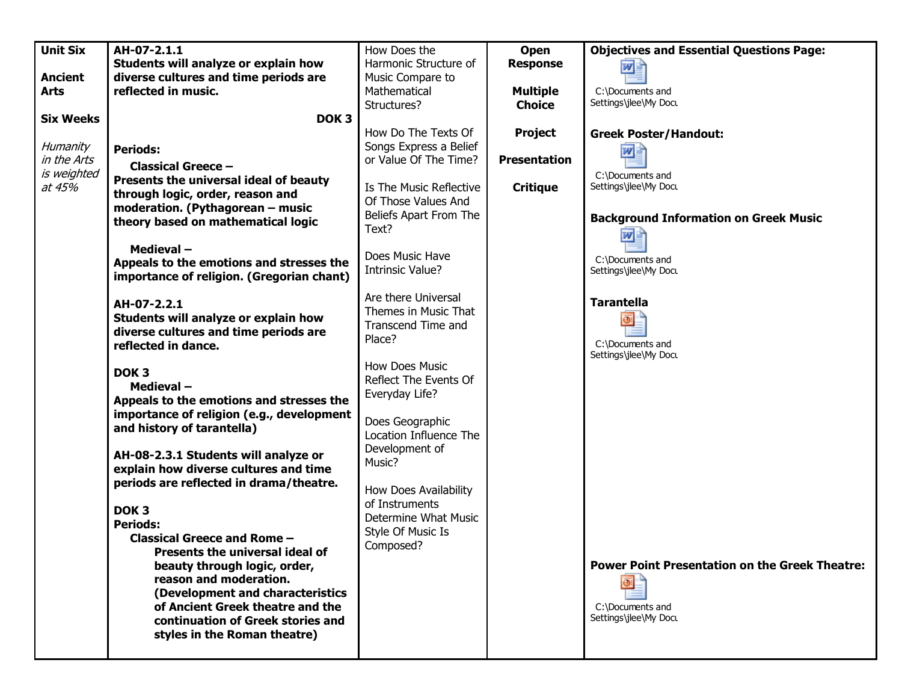| <b>Unit Six</b>  | AH-07-2.1.1                               | How Does the            | Open                | <b>Objectives and Essential Questions Page:</b>       |
|------------------|-------------------------------------------|-------------------------|---------------------|-------------------------------------------------------|
|                  | Students will analyze or explain how      | Harmonic Structure of   |                     |                                                       |
|                  |                                           |                         | <b>Response</b>     | 四国                                                    |
| <b>Ancient</b>   | diverse cultures and time periods are     | Music Compare to        |                     |                                                       |
| <b>Arts</b>      | reflected in music.                       | Mathematical            | <b>Multiple</b>     | C:\Documents and                                      |
|                  |                                           | Structures?             | <b>Choice</b>       | Settings\jlee\My Docu                                 |
| <b>Six Weeks</b> | DOK <sub>3</sub>                          |                         |                     |                                                       |
|                  |                                           | How Do The Texts Of     | Project             | <b>Greek Poster/Handout:</b>                          |
| Humanity         | <b>Periods:</b>                           | Songs Express a Belief  |                     | W                                                     |
| in the Arts      |                                           | or Value Of The Time?   | <b>Presentation</b> |                                                       |
| is weighted      | <b>Classical Greece -</b>                 |                         |                     | C:\Documents and                                      |
| at 45%           | Presents the universal ideal of beauty    | Is The Music Reflective | <b>Critique</b>     | Settings\jlee\My Docu                                 |
|                  | through logic, order, reason and          | Of Those Values And     |                     |                                                       |
|                  | moderation. (Pythagorean - music          |                         |                     |                                                       |
|                  | theory based on mathematical logic        | Beliefs Apart From The  |                     | <b>Background Information on Greek Music</b>          |
|                  |                                           | Text?                   |                     | W                                                     |
|                  | Medieval-                                 |                         |                     |                                                       |
|                  | Appeals to the emotions and stresses the  | Does Music Have         |                     | C:\Documents and                                      |
|                  | importance of religion. (Gregorian chant) | Intrinsic Value?        |                     | Settings\jlee\My Docu                                 |
|                  |                                           |                         |                     |                                                       |
|                  | AH-07-2.2.1                               | Are there Universal     |                     | <b>Tarantella</b>                                     |
|                  | Students will analyze or explain how      | Themes in Music That    |                     |                                                       |
|                  |                                           | Transcend Time and      |                     |                                                       |
|                  | diverse cultures and time periods are     | Place?                  |                     | C:\Documents and                                      |
|                  | reflected in dance.                       |                         |                     | Settings\jlee\My Docu                                 |
|                  |                                           | <b>How Does Music</b>   |                     |                                                       |
|                  | DOK <sub>3</sub>                          | Reflect The Events Of   |                     |                                                       |
|                  | Medieval-                                 | Everyday Life?          |                     |                                                       |
|                  | Appeals to the emotions and stresses the  |                         |                     |                                                       |
|                  | importance of religion (e.g., development |                         |                     |                                                       |
|                  | and history of tarantella)                | Does Geographic         |                     |                                                       |
|                  |                                           | Location Influence The  |                     |                                                       |
|                  | AH-08-2.3.1 Students will analyze or      | Development of          |                     |                                                       |
|                  | explain how diverse cultures and time     | Music?                  |                     |                                                       |
|                  | periods are reflected in drama/theatre.   |                         |                     |                                                       |
|                  |                                           | How Does Availability   |                     |                                                       |
|                  | DOK <sub>3</sub>                          | of Instruments          |                     |                                                       |
|                  |                                           | Determine What Music    |                     |                                                       |
|                  | <b>Periods:</b>                           | Style Of Music Is       |                     |                                                       |
|                  | <b>Classical Greece and Rome -</b>        | Composed?               |                     |                                                       |
|                  | Presents the universal ideal of           |                         |                     |                                                       |
|                  | beauty through logic, order,              |                         |                     | <b>Power Point Presentation on the Greek Theatre:</b> |
|                  | reason and moderation.                    |                         |                     | o                                                     |
|                  | (Development and characteristics          |                         |                     |                                                       |
|                  | of Ancient Greek theatre and the          |                         |                     | C:\Documents and                                      |
|                  | continuation of Greek stories and         |                         |                     | Settings\jlee\My Docu                                 |
|                  | styles in the Roman theatre)              |                         |                     |                                                       |
|                  |                                           |                         |                     |                                                       |
|                  |                                           |                         |                     |                                                       |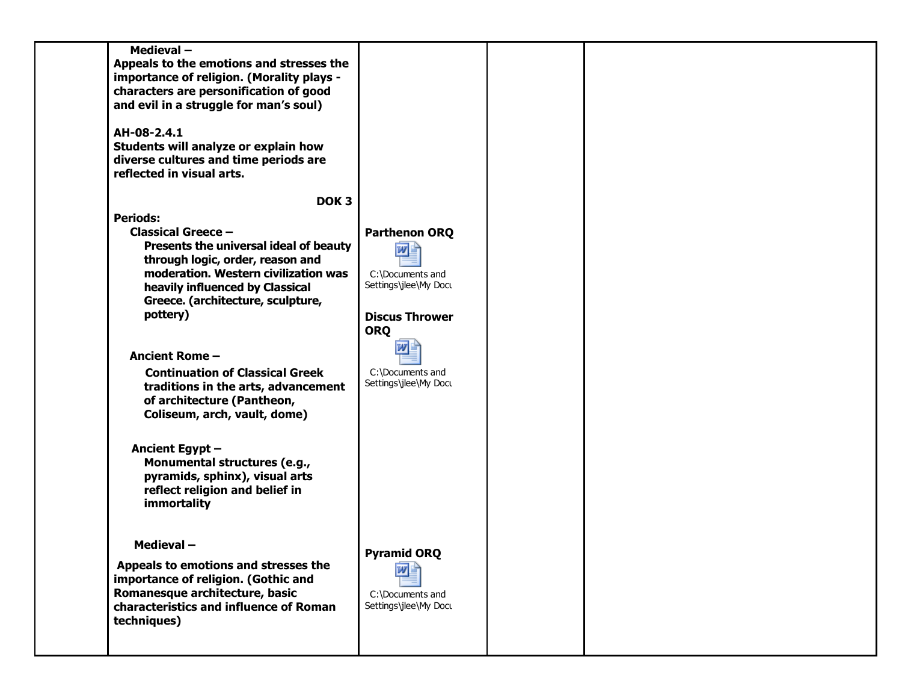| Medieval-<br>Appeals to the emotions and stresses the<br>importance of religion. (Morality plays -<br>characters are personification of good<br>and evil in a struggle for man's soul)<br>AH-08-2.4.1<br>Students will analyze or explain how<br>diverse cultures and time periods are<br>reflected in visual arts. |                                                                       |  |  |
|---------------------------------------------------------------------------------------------------------------------------------------------------------------------------------------------------------------------------------------------------------------------------------------------------------------------|-----------------------------------------------------------------------|--|--|
| DOK <sub>3</sub>                                                                                                                                                                                                                                                                                                    |                                                                       |  |  |
| <b>Periods:</b><br><b>Classical Greece -</b><br>Presents the universal ideal of beauty<br>through logic, order, reason and                                                                                                                                                                                          | <b>Parthenon ORQ</b><br>四三                                            |  |  |
| moderation. Western civilization was<br>heavily influenced by Classical<br>Greece. (architecture, sculpture,<br>pottery)                                                                                                                                                                                            | C:\Documents and<br>Settings\jlee\My Docu<br><b>Discus Thrower</b>    |  |  |
| <b>Ancient Rome -</b><br><b>Continuation of Classical Greek</b><br>traditions in the arts, advancement<br>of architecture (Pantheon,<br>Coliseum, arch, vault, dome)                                                                                                                                                | <b>ORQ</b><br>C:\Documents and<br>Settings\jlee\My Docu               |  |  |
| Ancient Egypt -<br>Monumental structures (e.g.,<br>pyramids, sphinx), visual arts<br>reflect religion and belief in<br>immortality                                                                                                                                                                                  |                                                                       |  |  |
| <b>Medieval-</b><br>Appeals to emotions and stresses the<br>importance of religion. (Gothic and<br>Romanesque architecture, basic<br>characteristics and influence of Roman<br>techniques)                                                                                                                          | <b>Pyramid ORQ</b><br>四国<br>C:\Documents and<br>Settings\jlee\My Docu |  |  |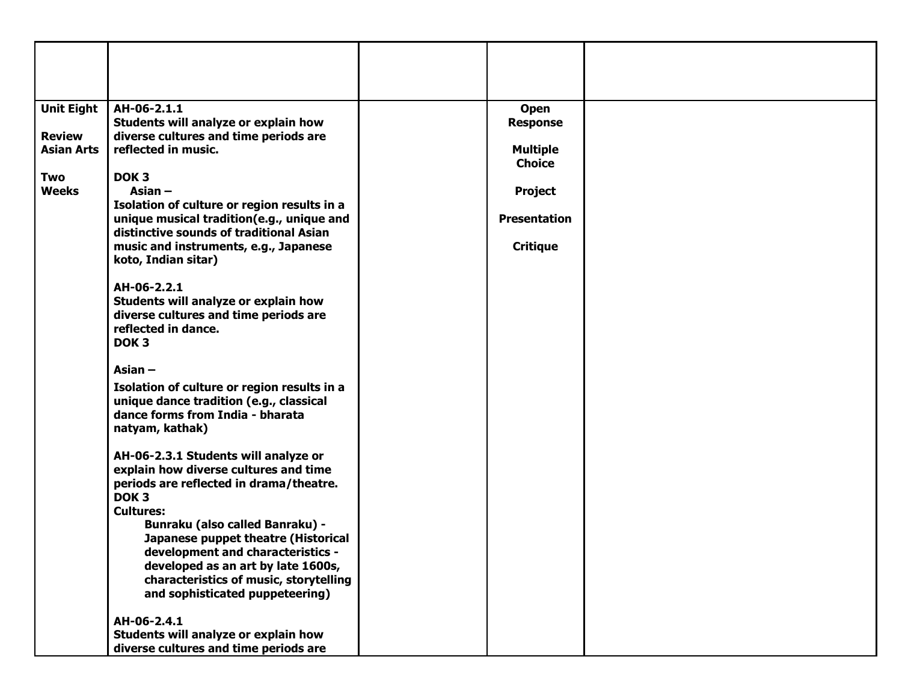| <b>Unit Eight</b>                  | AH-06-2.1.1<br>Students will analyze or explain how                                                                                           | <b>Open</b><br><b>Response</b> |  |
|------------------------------------|-----------------------------------------------------------------------------------------------------------------------------------------------|--------------------------------|--|
| <b>Review</b><br><b>Asian Arts</b> | diverse cultures and time periods are<br>reflected in music.                                                                                  | <b>Multiple</b>                |  |
|                                    |                                                                                                                                               | <b>Choice</b>                  |  |
| Two<br><b>Weeks</b>                | DOK <sub>3</sub><br>Asian $-$                                                                                                                 | <b>Project</b>                 |  |
|                                    | Isolation of culture or region results in a                                                                                                   |                                |  |
|                                    | unique musical tradition(e.g., unique and<br>distinctive sounds of traditional Asian                                                          | <b>Presentation</b>            |  |
|                                    | music and instruments, e.g., Japanese<br>koto, Indian sitar)                                                                                  | <b>Critique</b>                |  |
|                                    | AH-06-2.2.1<br>Students will analyze or explain how<br>diverse cultures and time periods are<br>reflected in dance.<br>DOK <sub>3</sub>       |                                |  |
|                                    | Asian $-$                                                                                                                                     |                                |  |
|                                    | Isolation of culture or region results in a<br>unique dance tradition (e.g., classical<br>dance forms from India - bharata<br>natyam, kathak) |                                |  |
|                                    | AH-06-2.3.1 Students will analyze or<br>explain how diverse cultures and time<br>periods are reflected in drama/theatre.<br>DOK <sub>3</sub>  |                                |  |
|                                    | <b>Cultures:</b>                                                                                                                              |                                |  |
|                                    | <b>Bunraku (also called Banraku) -</b><br>Japanese puppet theatre (Historical                                                                 |                                |  |
|                                    | development and characteristics -                                                                                                             |                                |  |
|                                    | developed as an art by late 1600s,<br>characteristics of music, storytelling                                                                  |                                |  |
|                                    | and sophisticated puppeteering)                                                                                                               |                                |  |
|                                    | AH-06-2.4.1                                                                                                                                   |                                |  |
|                                    | Students will analyze or explain how<br>diverse cultures and time periods are                                                                 |                                |  |
|                                    |                                                                                                                                               |                                |  |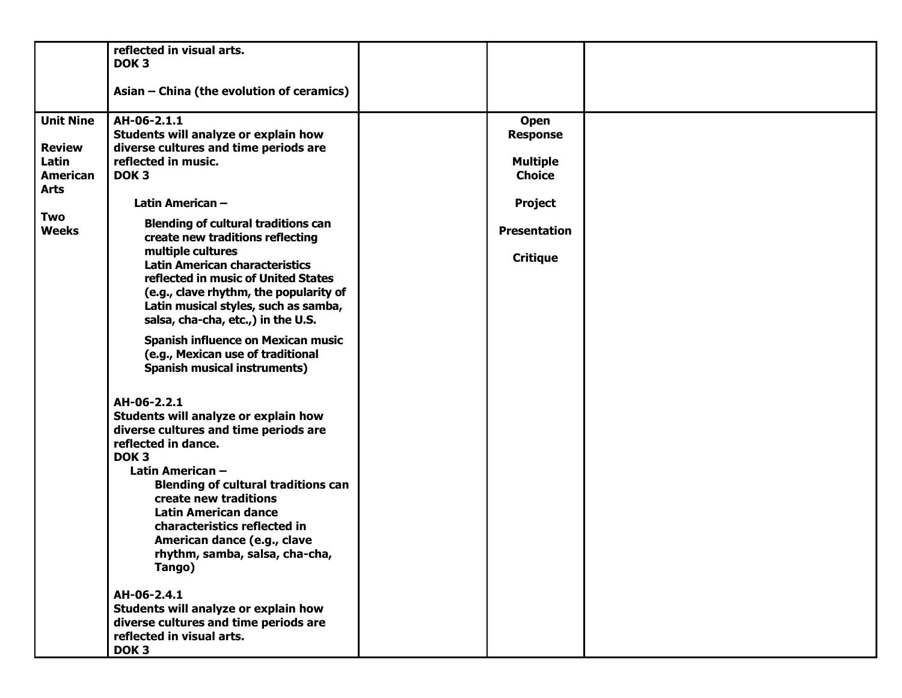|                                                                                                     | reflected in visual arts.<br>DOK <sub>3</sub><br>Asian - China (the evolution of ceramics)                                                                                                                                                                                                                                                                                                                                                                                                                                                                                                  |                                                                                                                                |  |
|-----------------------------------------------------------------------------------------------------|---------------------------------------------------------------------------------------------------------------------------------------------------------------------------------------------------------------------------------------------------------------------------------------------------------------------------------------------------------------------------------------------------------------------------------------------------------------------------------------------------------------------------------------------------------------------------------------------|--------------------------------------------------------------------------------------------------------------------------------|--|
| <b>Unit Nine</b><br><b>Review</b><br>Latin<br><b>American</b><br><b>Arts</b><br>Two<br><b>Weeks</b> | AH-06-2.1.1<br>Students will analyze or explain how<br>diverse cultures and time periods are<br>reflected in music.<br>DOK <sub>3</sub><br>Latin American-<br><b>Blending of cultural traditions can</b><br>create new traditions reflecting<br>multiple cultures<br><b>Latin American characteristics</b><br>reflected in music of United States<br>(e.g., clave rhythm, the popularity of<br>Latin musical styles, such as samba,<br>salsa, cha-cha, etc.,) in the U.S.<br>Spanish influence on Mexican music<br>(e.g., Mexican use of traditional<br><b>Spanish musical instruments)</b> | <b>Open</b><br><b>Response</b><br><b>Multiple</b><br><b>Choice</b><br><b>Project</b><br><b>Presentation</b><br><b>Critique</b> |  |
|                                                                                                     | AH-06-2.2.1<br>Students will analyze or explain how<br>diverse cultures and time periods are<br>reflected in dance.<br>DOK <sub>3</sub><br>Latin American -<br><b>Blending of cultural traditions can</b><br>create new traditions<br><b>Latin American dance</b><br>characteristics reflected in<br>American dance (e.g., clave<br>rhythm, samba, salsa, cha-cha,<br>Tango)<br>AH-06-2.4.1<br>Students will analyze or explain how<br>diverse cultures and time periods are<br>reflected in visual arts.<br>DOK <sub>3</sub>                                                               |                                                                                                                                |  |